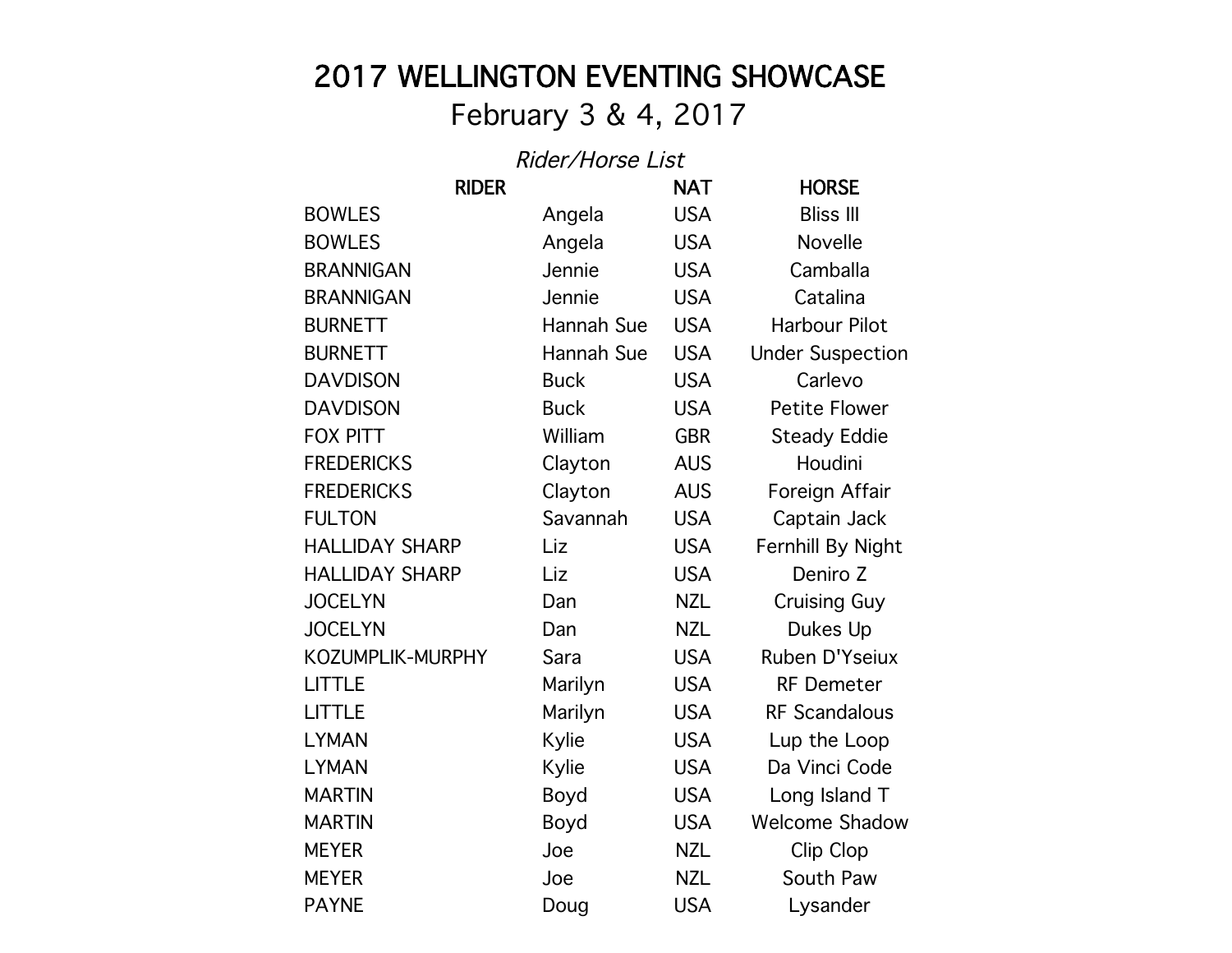## 2017 WELLINGTON EVENTING SHOWCASE

## February 3 & 4, 2017

## Rider/Horse List

| <b>RIDER</b>          |             | <b>NAT</b> | <b>HORSE</b>            |
|-----------------------|-------------|------------|-------------------------|
| <b>BOWLES</b>         | Angela      | <b>USA</b> | <b>Bliss III</b>        |
| <b>BOWLES</b>         | Angela      | <b>USA</b> | Novelle                 |
| <b>BRANNIGAN</b>      | Jennie      | <b>USA</b> | Camballa                |
| <b>BRANNIGAN</b>      | Jennie      | <b>USA</b> | Catalina                |
| <b>BURNETT</b>        | Hannah Sue  | <b>USA</b> | <b>Harbour Pilot</b>    |
| <b>BURNETT</b>        | Hannah Sue  | <b>USA</b> | <b>Under Suspection</b> |
| <b>DAVDISON</b>       | <b>Buck</b> | <b>USA</b> | Carlevo                 |
| <b>DAVDISON</b>       | <b>Buck</b> | <b>USA</b> | <b>Petite Flower</b>    |
| <b>FOX PITT</b>       | William     | <b>GBR</b> | <b>Steady Eddie</b>     |
| <b>FREDERICKS</b>     | Clayton     | <b>AUS</b> | Houdini                 |
| <b>FREDERICKS</b>     | Clayton     | <b>AUS</b> | Foreign Affair          |
| <b>FULTON</b>         | Savannah    | <b>USA</b> | Captain Jack            |
| <b>HALLIDAY SHARP</b> | Liz         | <b>USA</b> | Fernhill By Night       |
| <b>HALLIDAY SHARP</b> | Liz         | <b>USA</b> | Deniro Z                |
| <b>JOCELYN</b>        | Dan         | <b>NZL</b> | <b>Cruising Guy</b>     |
| <b>JOCELYN</b>        | Dan         | <b>NZL</b> | Dukes Up                |
| KOZUMPLIK-MURPHY      | Sara        | <b>USA</b> | Ruben D'Yseiux          |
| <b>LITTLE</b>         | Marilyn     | <b>USA</b> | <b>RF Demeter</b>       |
| <b>LITTLE</b>         | Marilyn     | <b>USA</b> | <b>RF Scandalous</b>    |
| <b>LYMAN</b>          | Kylie       | <b>USA</b> | Lup the Loop            |
| <b>LYMAN</b>          | Kylie       | <b>USA</b> | Da Vinci Code           |
| <b>MARTIN</b>         | Boyd        | <b>USA</b> | Long Island T           |
| <b>MARTIN</b>         | Boyd        | <b>USA</b> | <b>Welcome Shadow</b>   |
| <b>MEYER</b>          | Joe         | <b>NZL</b> | Clip Clop               |
| <b>MEYER</b>          | Joe         | <b>NZL</b> | South Paw               |
| <b>PAYNE</b>          | Doug        | <b>USA</b> | Lysander                |